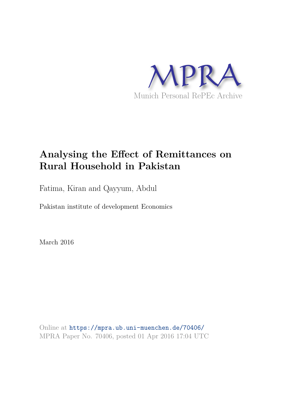

# **Analysing the Effect of Remittances on Rural Household in Pakistan**

Fatima, Kiran and Qayyum, Abdul

Pakistan institute of development Economics

March 2016

Online at https://mpra.ub.uni-muenchen.de/70406/ MPRA Paper No. 70406, posted 01 Apr 2016 17:04 UTC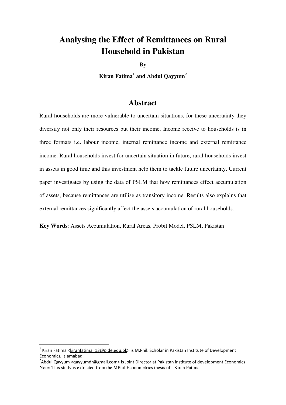# **Analysing the Effect of Remittances on Rural Household in Pakistan**

**By**

**Kiran Fatima<sup>1</sup> and Abdul Qayyum<sup>2</sup>** 

### **Abstract**

Rural households are more vulnerable to uncertain situations, for these uncertainty they diversify not only their resources but their income. Income receive to households is in three formats i.e. labour income, internal remittance income and external remittance income. Rural households invest for uncertain situation in future, rural households invest in assets in good time and this investment help them to tackle future uncertainty. Current paper investigates by using the data of PSLM that how remittances effect accumulation of assets, because remittances are utilise as transitory income. Results also explains that external remittances significantly affect the assets accumulation of rural households.

**Key Words**: Assets Accumulation, Rural Areas, Probit Model, PSLM, Pakistan

l

<sup>&</sup>lt;sup>1</sup> Kiran Fatima <*kiranfatima* 13@pide.edu.pk> is M.Phil. Scholar in Pakistan Institute of Development Economics, Islamabad.

<sup>&</sup>lt;sup>2</sup>Abdul Qayyum < $q$ ayyumdr@gmail.com> is Joint Director at Pakistan institute of development Economics Note: This study is extracted from the MPhil Econometrics thesis of Kiran Fatima.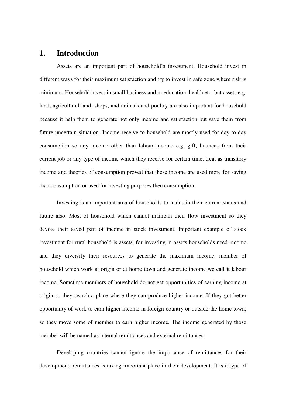#### **1. Introduction**

Assets are an important part of household's investment. Household invest in different ways for their maximum satisfaction and try to invest in safe zone where risk is minimum. Household invest in small business and in education, health etc. but assets e.g. land, agricultural land, shops, and animals and poultry are also important for household because it help them to generate not only income and satisfaction but save them from future uncertain situation. Income receive to household are mostly used for day to day consumption so any income other than labour income e.g. gift, bounces from their current job or any type of income which they receive for certain time, treat as transitory income and theories of consumption proved that these income are used more for saving than consumption or used for investing purposes then consumption.

Investing is an important area of households to maintain their current status and future also. Most of household which cannot maintain their flow investment so they devote their saved part of income in stock investment. Important example of stock investment for rural household is assets, for investing in assets households need income and they diversify their resources to generate the maximum income, member of household which work at origin or at home town and generate income we call it labour income. Sometime members of household do not get opportunities of earning income at origin so they search a place where they can produce higher income. If they got better opportunity of work to earn higher income in foreign country or outside the home town, so they move some of member to earn higher income. The income generated by those member will be named as internal remittances and external remittances.

Developing countries cannot ignore the importance of remittances for their development, remittances is taking important place in their development. It is a type of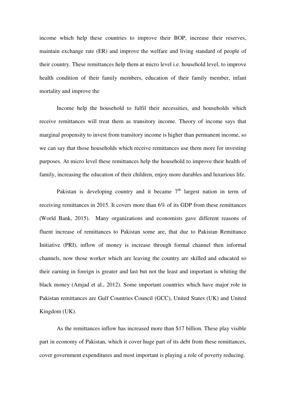income which help these countries to improve their BOP, increase their reserves, maintain exchange rate (ER) and improve the welfare and living standard of people of their country. These remittances help them at micro level i.e. household level, to improve health condition of their family members, education of their family member, infant mortality and improve the

Income help the household to fulfil their necessities, and households which receive remittances will treat them as transitory income. Theory of income says that marginal propensity to invest from transitory income is higher than permanent income, so we can say that those households which receive remittances use them more for investing purposes. At micro level these remittances help the household to improve their health of family, increasing the education of their children, enjoy more durables and luxurious life.

Pakistan is developing country and it became  $7<sup>th</sup>$  largest nation in term of receiving remittances in 2015. It covers more than 6% of its GDP from these remittances (World Bank, 2015). Many organizations and economists gave different reasons of fluent increase of remittances to Pakistan some are, that due to Pakistan Remittance Initiative (PRI), inflow of money is increase through formal channel then informal channels, now those worker which are leaving the country are skilled and educated so their earning in foreign is greater and last but not the least and important is whiting the black money (Amjad et al., 2012). Some important countries which have major role in Pakistan remittances are Gulf Countries Council (GCC), United States (UK) and United Kingdom (UK).

As the remittances inflow has increased more than \$17 billion. These play visible part in economy of Pakistan, which it cover huge part of its debt from these remittances, cover government expenditures and most important is playing a role of poverty reducing.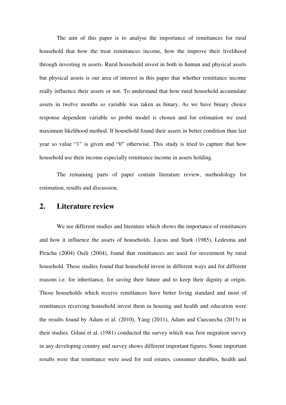The aim of this paper is to analyse the importance of remittances for rural household that how the treat remittances income, how the improve their livelihood through investing in assets. Rural household invest in both in human and physical assets but physical assets is our area of interest in this paper that whether remittance income really influence their assets or not. To understand that how rural household accumulate assets in twelve months so variable was taken as binary. As we have binary choice response dependent variable so probit model is chosen and for estimation we used maximum likelihood method. If household found their assets in better condition than last year so value "1" is given and "0" otherwise. This study is tried to capture that how household use their income especially remittance income in assets holding.

The remaining parts of paper contain literature review, methodology for estimation, results and discussion.

# **2. Literature review**

We see different studies and literature which shows the importance of remittances and how it influence the assets of households. Lucus and Stark (1985), Ledesma and Piracha (2004) Osili (2004), found that remittances are used for investment by rural household. These studies found that household invest in different ways and for different reasons i.e. for inheritance, for saving their future and to keep their dignity at origin. Those households which receive remittances have better living standard and most of remittances receiving household invest them in housing and health and education were the results found by Adam et al. (2010), Yang (2011), Adam and Cuecuecha (2013) in their studies. Gilani et al. (1981) conducted the survey which was first migration survey in any developing country and survey shows different important figures. Some important results were that remittance were used for real estates, consumer durables, health and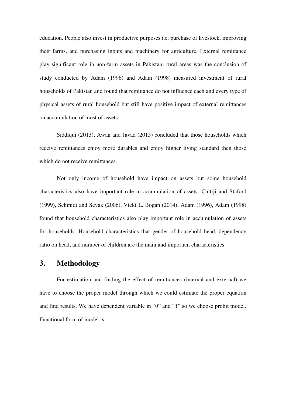education. People also invest in productive purposes i.e. purchase of livestock, improving their farms, and purchasing inputs and machinery for agriculture. External remittance play significant role in non-farm assets in Pakistani rural areas was the conclusion of study conducted by Adam (1996) and Adam (1998) measured investment of rural households of Pakistan and found that remittance do not influence each and every type of physical assets of rural household but still have positive impact of external remittances on accumulation of most of assets.

Siddiqui (2013), Awan and Javad (2015) concluded that those households which receive remittances enjoy more durables and enjoy higher living standard then those which do not receive remittances.

Not only income of household have impact on assets but some household characteristics also have important role in accumulation of assets. Chitiji and Staford (1999), Schmidt and Sevak (2006), Vicki L. Bogan (2014), Adam (1996), Adam (1998) found that household characteristics also play important role in accumulation of assets for households. Household characteristics that gender of household head, dependency ratio on head, and number of children are the main and important characteristics.

# **3. Methodology**

For estimation and finding the effect of remittances (internal and external) we have to choose the proper model through which we could estimate the proper equation and find results. We have dependent variable in "0" and "1" so we choose probit model. Functional form of model is;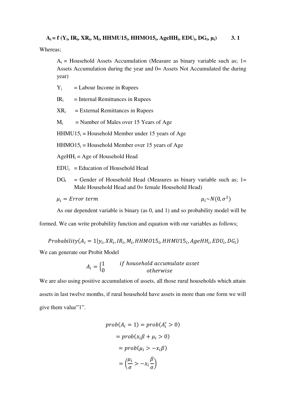Whereas;

 $A_i$  = Household Assets Accumulation (Measure as binary variable such as; 1= Assets Accumulation during the year and 0= Assets Not Accumulated the during year)

- $Y_i$  = Labour Income in Rupees
- $IR_i$  = Internal Remittances in Rupees
- $XR_i$  = External Remittances in Rupees
- $M<sub>i</sub>$  = Number of Males over 15 Years of Age
- $HHMU15_i = Household Member under 15 years of Age$
- $HHMO15_i = Household Member over 15 years of Age$
- $AgeHH<sub>i</sub> = Age of Household Head$
- $EDU_i = Education of Household Head$
- $DG_i$  = Gender of Household Head (Measures as binary variable such as; 1= Male Household Head and 0= female Household Head)

$$
\mu_i = Error \ term \qquad \qquad \mu_i \sim N(0)
$$

 $\mu_i \sim N(0, \sigma^2)$ 

As our dependent variable is binary (as 0, and 1) and so probability model will be

formed. We can write probability function and equation with our variables as follows;

$$
Probability(A_i = 1 | y_i, XR_i,IR_i,M_i,HHMO15_i,HHMU15_i,AgeHH_i, EDU_i, DG_i)
$$

We can generate our Probit Model

$$
A_i = \begin{cases} 1 & if household accumulate asset \\ 0 & otherwise \end{cases}
$$

We are also using positive accumulation of assets, all those rural households which attain assets in last twelve months, if rural household have assets in more than one form we will give them value"1".

$$
prob(A_i = 1) = prob(A_i^* > 0)
$$

$$
= prob(x_i \beta + \mu_i > 0)
$$

$$
= prob(\mu_i > -x_i \beta)
$$

$$
= \left(\frac{\mu_i}{\sigma} > -x_i \frac{\beta}{\sigma}\right)
$$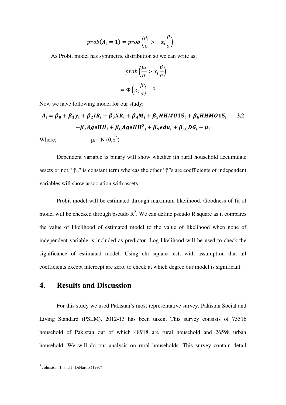$$
prob(A_i = 1) = prob\left(\frac{\mu_i}{\sigma} > -x_i\frac{\beta}{\sigma}\right)
$$

As Probit model has symmetric distribution so we can write as;

$$
= prob\left(\frac{\mu_i}{\sigma} > x_i \frac{\beta}{\sigma}\right)
$$
\n
$$
= \Phi\left(x_i \frac{\beta}{\sigma}\right)
$$

Now we have following model for our study;

$$
A_i = \beta_0 + \beta_1 y_i + \beta_2 I R_i + \beta_3 X R_i + \beta_4 M_i + \beta_5 H H M U 15_i + \beta_6 H H M O 15_i
$$
 3.2  
+
$$
\beta_7 A g e H H_i + \beta_8 A g e H H^2_i + \beta_9 e du_i + \beta_{10} D G_i + \mu_i
$$
  
Where;  

$$
\mu_i \sim N (0, \sigma^2)
$$

Dependent variable is binary will show whether ith rural household accumulate assets or not. " $\beta_0$ " is constant term whereas the other "β"s are coefficients of independent variables will show association with assets.

Probit model will be estimated through maximum likelihood. Goodness of fit of model will be checked through pseudo  $R^2$ . We can define pseudo R square as it compares the value of likelihood of estimated model to the value of likelihood when none of independent variable is included as predictor. Log likelihood will be used to check the significance of estimated model. Using chi square test, with assumption that all coefficients except intercept are zero, to check at which degree our model is significant.

# **4. Results and Discussion**

For this study we used Pakistan`s most representative survey, Pakistan Social and Living Standard (PSLM), 2012-13 has been taken. This survey consists of 75516 household of Pakistan out of which 48918 are rural household and 26598 urban household. We will do our analysis on rural households. This survey contain detail

l

<sup>&</sup>lt;sup>3</sup> Johnston, J. and J. DiNardo (1997).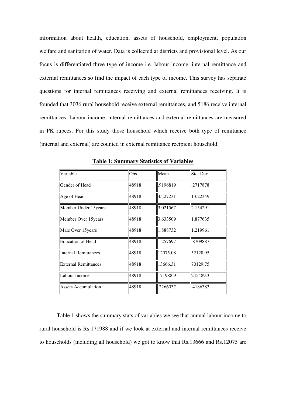information about health, education, assets of household, employment, population welfare and sanitation of water. Data is collected at districts and provisional level. As our focus is differentiated three type of income i.e. labour income, internal remittance and external remittances so find the impact of each type of income. This survey has separate questions for internal remittances receiving and external remittances receiving. It is founded that 3036 rural household receive external remittances, and 5186 receive internal remittances. Labour income, internal remittances and external remittances are measured in PK rupees. For this study those household which receive both type of remittance (internal and external) are counted in external remittance recipient household.

| Variable                    | Obs   | Mean     | Std. Dev. |
|-----------------------------|-------|----------|-----------|
| Gender of Head              | 48918 | .9196819 | .2717878  |
| Age of Head                 | 48918 | 45.27231 | 13.22349  |
| Member Under 15years        | 48918 | 3.021567 | 2.154291  |
| Member Over 15 years        | 48918 | 3.633509 | 1.877635  |
| Male Over 15 years          | 48918 | 1.888732 | 1.219961  |
| <b>Education of Head</b>    | 48918 | 1.257697 | .8709887  |
| <b>Internal Remittances</b> | 48918 | 12075.08 | 52128.95  |
| <b>External Remittances</b> | 48918 | 13666.31 | 70129.75  |
| Labour Income               | 48918 | 171988.9 | 245489.3  |
| <b>Assets Accumulation</b>  | 48918 | .2266037 | .4186383  |

**Table 1: Summary Statistics of Variables** 

Table 1 shows the summary stats of variables we see that annual labour income to rural household is Rs.171988 and if we look at external and internal remittances receive to households (including all household) we got to know that Rs.13666 and Rs.12075 are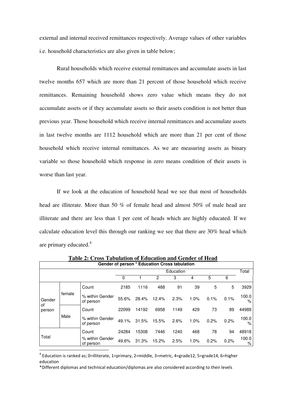external and internal received remittances respectively. Average values of other variables i.e. household characteristics are also given in table below;

Rural households which receive external remittances and accumulate assets in last twelve months 657 which are more than 21 percent of those household which receive remittances. Remaining household shows zero value which means they do not accumulate assets or if they accumulate assets so their assets condition is not better than previous year. Those household which receive internal remittances and accumulate assets in last twelve months are 1112 household which are more than 21 per cent of those household which receive internal remittances. As we are measuring assets as binary variable so those household which response in zero means condition of their assets is worse than last year.

If we look at the education of household head we see that most of households head are illiterate. More than 50 % of female head and almost 50% of male head are illiterate and there are less than 1 per cent of heads which are highly educated. If we calculate education level this through our ranking we see that there are 30% head which are primary educated.<sup>4</sup>

| Gender of person * Education Cross tabulation |        |                              |           |       |       |      |      |      |       |               |
|-----------------------------------------------|--------|------------------------------|-----------|-------|-------|------|------|------|-------|---------------|
|                                               |        |                              | Education |       |       |      |      |      | Total |               |
|                                               |        |                              | 0         |       | 2     | 3    | 4    | 5    | 6     |               |
| Gender<br>of<br>person                        |        | Count                        | 2185      | 1116  | 488   | 91   | 39   | 5    | 5     | 3929          |
|                                               | female | % within Gender<br>of person | 55.6%     | 28.4% | 12.4% | 2.3% | 1.0% | 0.1% | 0.1%  | 100.0<br>$\%$ |
|                                               | Male   | Count                        | 22099     | 14192 | 6958  | 1149 | 429  | 73   | 89    | 44989         |
|                                               |        | % within Gender<br>of person | 49.1%     | 31.5% | 15.5% | 2.6% | 1.0% | 0.2% | 0.2%  | 100.0<br>$\%$ |
|                                               |        | Count                        | 24284     | 15308 | 7446  | 1240 | 468  | 78   | 94    | 48918         |
| Total                                         |        | % within Gender<br>of person | 49.6%     | 31.3% | 15.2% | 2.5% | 1.0% | 0.2% | 0.2%  | 100.0<br>%    |
|                                               |        |                              |           |       |       |      |      |      |       |               |

**Table 2: Cross Tabulation of Education and Gender of Head** 

4 Education is ranked as; 0=illiterate, 1=primary, 2=middle, 3=metric, 4=grade12, 5=grade14, 6=higher education

\*Different diplomas and technical education/diplomas are also considered according to their levels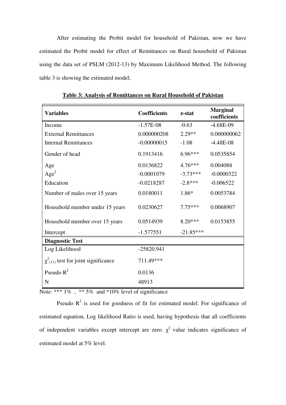After estimating the Probit model for household of Pakistan, now we have estimated the Probit model for effect of Remittances on Rural household of Pakistan using the data set of PSLM (2012-13) by Maximum Likelihood Method. The following table 3 is showing the estimated model;

| <b>Variables</b>                            | <b>Coefficients</b> | z-stat      | <b>Marginal</b><br>coefficients |
|---------------------------------------------|---------------------|-------------|---------------------------------|
| Income                                      | $-1.57E-08$         | $-0.63$     | $-4.68E-09$                     |
| <b>External Remittances</b>                 | 0.000000208         | $2.29**$    | 0.000000062                     |
| <b>Internal Remittances</b>                 | $-0.00000015$       | $-1.08$     | $-4.48E-08$                     |
| Gender of head                              | 0.1913416           | $6.96***$   | 0.0535854                       |
| Age                                         | 0.0136822           | $4.76***$   | 0.004088                        |
| Age <sup>2</sup>                            | $-0.0001079$        | $-3.73***$  | $-0.0000322$                    |
| Education                                   | $-0.0218287$        | $-2.8***$   | $-0.006522$                     |
| Number of males over 15 years               | 0.0180011           | 1.86*       | 0.0053784                       |
| Household member under 15 years             | 0.0230627           | $7.75***$   | 0.0068907                       |
| Household member over 15 years              | 0.0514939           | $8.20***$   | 0.0153855                       |
| Intercept                                   | $-1.577551$         | $-21.85***$ |                                 |
| <b>Diagnostic Test</b>                      |                     |             |                                 |
| Log Likelihood                              | $-25820.941$        |             |                                 |
| $\chi^2_{(11)}$ test for joint significance | 711.49***           |             |                                 |
| Pseudo $R^2$                                | 0.0136              |             |                                 |
| N                                           | 48913               |             |                                 |

**Table 3: Analysis of Remittances on Rural Household of Pakistan** 

Note: \*\*\*  $1\%$ , \*\*  $5\%$  and \*10% level of significance

Pseudo  $R^2$  is used for goodness of fit for estimated model. For significance of estimated equation, Log likelihood Ratio is used, having hypothesis that all coefficients of independent variables except intercept are zero.  $\chi^2$  value indicates significance of estimated model at 5% level.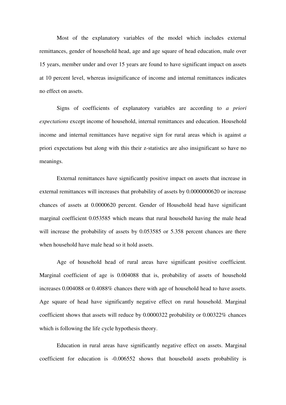Most of the explanatory variables of the model which includes external remittances, gender of household head, age and age square of head education, male over 15 years, member under and over 15 years are found to have significant impact on assets at 10 percent level, whereas insignificance of income and internal remittances indicates no effect on assets.

Signs of coefficients of explanatory variables are according to *a priori expectations* except income of household, internal remittances and education. Household income and internal remittances have negative sign for rural areas which is against *a*  priori expectations but along with this their z-statistics are also insignificant so have no meanings.

External remittances have significantly positive impact on assets that increase in external remittances will increases that probability of assets by 0.0000000620 or increase chances of assets at 0.0000620 percent. Gender of Household head have significant marginal coefficient 0.053585 which means that rural household having the male head will increase the probability of assets by 0.053585 or 5.358 percent chances are there when household have male head so it hold assets.

Age of household head of rural areas have significant positive coefficient. Marginal coefficient of age is 0.004088 that is, probability of assets of household increases 0.004088 or 0.4088% chances there with age of household head to have assets. Age square of head have significantly negative effect on rural household. Marginal coefficient shows that assets will reduce by 0.0000322 probability or 0.00322% chances which is following the life cycle hypothesis theory.

Education in rural areas have significantly negative effect on assets. Marginal coefficient for education is -0.006552 shows that household assets probability is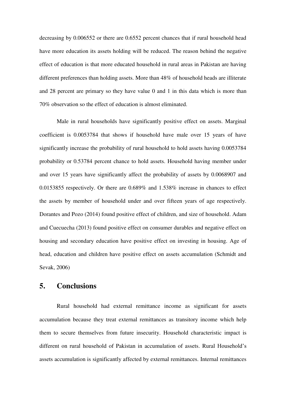decreasing by 0.006552 or there are 0.6552 percent chances that if rural household head have more education its assets holding will be reduced. The reason behind the negative effect of education is that more educated household in rural areas in Pakistan are having different preferences than holding assets. More than 48% of household heads are illiterate and 28 percent are primary so they have value 0 and 1 in this data which is more than 70% observation so the effect of education is almost eliminated.

Male in rural households have significantly positive effect on assets. Marginal coefficient is 0.0053784 that shows if household have male over 15 years of have significantly increase the probability of rural household to hold assets having 0.0053784 probability or 0.53784 percent chance to hold assets. Household having member under and over 15 years have significantly affect the probability of assets by 0.0068907 and 0.0153855 respectively. Or there are 0.689% and 1.538% increase in chances to effect the assets by member of household under and over fifteen years of age respectively. Dorantes and Pozo (2014) found positive effect of children, and size of household. Adam and Cuecuecha (2013) found positive effect on consumer durables and negative effect on housing and secondary education have positive effect on investing in housing. Age of head, education and children have positive effect on assets accumulation (Schmidt and Sevak, 2006)

# **5. Conclusions**

Rural household had external remittance income as significant for assets accumulation because they treat external remittances as transitory income which help them to secure themselves from future insecurity. Household characteristic impact is different on rural household of Pakistan in accumulation of assets. Rural Household's assets accumulation is significantly affected by external remittances. Internal remittances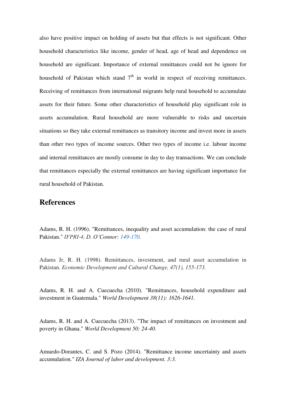also have positive impact on holding of assets but that effects is not significant. Other household characteristics like income, gender of head, age of head and dependence on household are significant. Importance of external remittances could not be ignore for household of Pakistan which stand  $7<sup>th</sup>$  in world in respect of receiving remittances. Receiving of remittances from international migrants help rural household to accumulate assets for their future. Some other characteristics of household play significant role in assets accumulation. Rural household are more vulnerable to risks and uncertain situations so they take external remittances as transitory income and invest more in assets than other two types of income sources. Other two types of income i.e. labour income and internal remittances are mostly consume in day to day transactions. We can conclude that remittances especially the external remittances are having significant importance for rural household of Pakistan.

# **References**

Adams, R. H. (1996). "Remittances, inequality and asset accumulation: the case of rural Pakistan." *IFPRI-4, D. O'Connor: [149-170.](http://ebrary.ifpri.org/cdm/search/collection/p15738coll5/searchterm/149-170)* 

Adams Jr, R. H. (1998). Remittances, investment, and rural asset accumulation in Pakistan. *Economic Development and Cultural Change, 47(1), 155-173.* 

Adams, R. H. and A. Cuecuecha (2010). "Remittances, household expenditure and investment in Guatemala." *World Development 38(11): 1626-1641.* 

Adams, R. H. and A. Cuecuecha (2013). "The impact of remittances on investment and poverty in Ghana." *World Development 50: 24-40.* 

Amuedo-Dorantes, C. and S. Pozo (2014). "Remittance income uncertainty and assets accumulation." *IZA Journal of labor and development. 3:3.*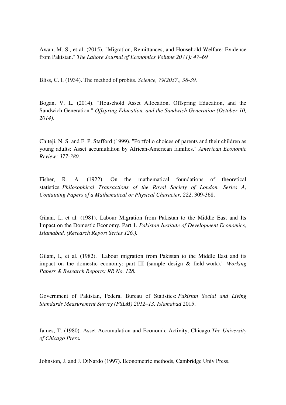Awan, M. S., et al. (2015). "Migration, Remittances, and Household Welfare: Evidence from Pakistan." *The Lahore Journal of Economics Volume 20 (1): 47–69* 

Bliss, C. I. (1934). The method of probits. *Science, 79(2037), 38-39.* 

Bogan, V. L. (2014). "Household Asset Allocation, Offspring Education, and the Sandwich Generation." *Offspring Education, and the Sandwich Generation (October 10, 2014).* 

Chiteji, N. S. and F. P. Stafford (1999). "Portfolio choices of parents and their children as young adults: Asset accumulation by African-American families." *American Economic Review: 377-380*.

Fisher, R. A. (1922). On the mathematical foundations of theoretical statistics. *Philosophical Transactions of the Royal Society of London. Series A, Containing Papers of a Mathematical or Physical Character*, *222*, 309-368.

Gilani, I., et al. (1981). Labour Migration from Pakistan to the Middle East and Its Impact on the Domestic Economy. Part 1. *Pakistan Institute of Development Economics, Islamabad. (Research Report Series 126.).* 

Gilani, I., et al. (1982). "Labour migration from Pakistan to the Middle East and its impact on the domestic economy: part III (sample design & field-work)." *Working Papers & Research Reports: RR No. 128.* 

Government of Pakistan, Federal Bureau of Statistics: *Pakistan Social and Living Standards Measurement Survey (PSLM) 2012–13. Islamabad* 2015.

James, T. (1980). Asset Accumulation and Economic Activity, Chicago,*The University of Chicago Press.* 

Johnston, J. and J. DiNardo (1997). Econometric methods, Cambridge Univ Press.